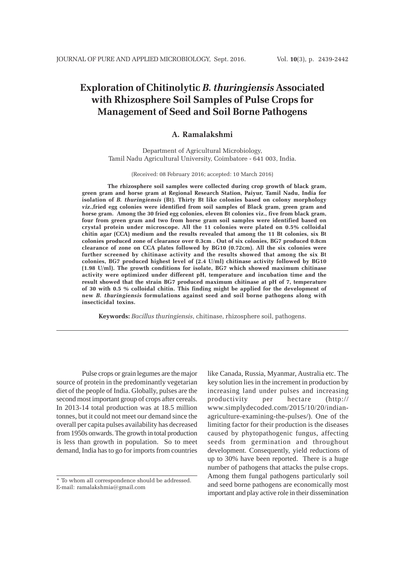# **Exploration of Chitinolytic** *B. thuringiensis* **Associated with Rhizosphere Soil Samples of Pulse Crops for Management of Seed and Soil Borne Pathogens**

## **A. Ramalakshmi**

Department of Agricultural Microbiology, Tamil Nadu Agricultural University, Coimbatore - 641 003, India.

#### (Received: 08 February 2016; accepted: 10 March 2016)

**The rhizosphere soil samples were collected during crop growth of black gram, green gram and horse gram at Regional Research Station, Paiyur, Tamil Nadu, India for isolation of** *B. thuringiensis* **(Bt). Thirty Bt like colonies based on colony morphology** *viz***.,fried egg colonies were identified from soil samples of Black gram, green gram and horse gram. Among the 30 fried egg colonies, eleven Bt colonies viz., five from black gram, four from green gram and two from horse gram soil samples were identified based on crystal protein under microscope. All the 11 colonies were plated on 0.5% colloidal chitin agar (CCA) medium and the results revealed that among the 11 Bt colonies, six Bt colonies produced zone of clearance over 0.3cm . Out of six colonies, BG7 produced 0.8cm clearance of zone on CCA plates followed by BG10 (0.72cm). All the six colonies were further screened by chitinase activity and the results showed that among the six Bt colonies, BG7 produced highest level of (2.4 U/ml) chitinase activity followed by BG10 (1.98 U/ml). The growth conditions for isolate, BG7 which showed maximum chitinase activity were optimized under different pH, temperature and incubation time and the result showed that the strain BG7 produced maximum chitinase at pH of 7, temperature of 30 with 0.5 % colloidal chitin. This finding might be applied for the development of new** *B. thuringiensis* **formulations against seed and soil borne pathogens along with insecticidal toxins.**

**Keywords:** *Bacillus thuringiensis*, chitinase, rhizosphere soil, pathogens.

Pulse crops or grain legumes are the major source of protein in the predominantly vegetarian diet of the people of India. Globally, pulses are the second most important group of crops after cereals. In 2013-14 total production was at 18.5 million tonnes, but it could not meet our demand since the overall per capita pulses availability has decreased from 1950s onwards. The growth in total production is less than growth in population. So to meet demand, India has to go for imports from countries

like Canada, Russia, Myanmar, Australia etc. The key solution lies in the increment in production by increasing land under pulses and increasing productivity per hectare (http:// www.simplydecoded.com/2015/10/20/indianagriculture-examining-the-pulses/). One of the limiting factor for their production is the diseases caused by phytopathogenic fungus, affecting seeds from germination and throughout development. Consequently, yield reductions of up to 30% have been reported. There is a huge number of pathogens that attacks the pulse crops. Among them fungal pathogens particularly soil and seed borne pathogens are economically most important and play active role in their dissemination

<sup>\*</sup> To whom all correspondence should be addressed. E-mail: ramalakshmia@gmail.com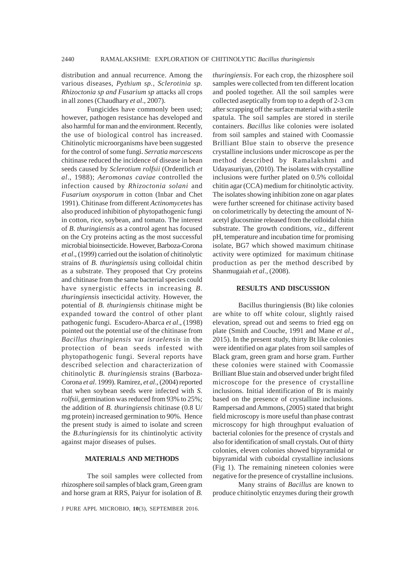distribution and annual recurrence. Among the various diseases, *Pythium sp., Sclerotinia sp. Rhizoctonia sp and Fusarium sp* attacks all crops in all zones (Chaudhary *et al*., 2007).

Fungicides have commonly been used; however, pathogen resistance has developed and also harmful for man and the environment. Recently, the use of biological control has increased. Chitinolytic microorganisms have been suggested for the control of some fungi. *Serratia marcescens* chitinase reduced the incidence of disease in bean seeds caused by *Sclerotium rolfsii* (Ordentlich *et al*., 1988); *Aeromonas caviae* controlled the infection caused by *Rhizoctonia solani* and *Fusarium oxysporum* in cotton (Inbar and Chet 1991). Chitinase from different *Actinomycetes* has also produced inhibition of phytopathogenic fungi in cotton, rice, soybean, and tomato. The interest of *B. thuringiensis* as a control agent has focused on the Cry proteins acting as the most successful microbial bioinsecticide. However, Barboza-Corona *et al*., (1999) carried out the isolation of chitinolytic strains of *B. thuringiensis* using colloidal chitin as a substrate. They proposed that Cry proteins and chitinase from the same bacterial species could have synergistic effects in increasing *B. thuringiensis* insecticidal activity*.* However, the potential of *B. thuringiensis* chitinase might be expanded toward the control of other plant pathogenic fungi. Escudero-Abarca *et al*., (1998) pointed out the potential use of the chitinase from *Bacillus thuringiensis* var *israelensis* in the protection of bean seeds infested with phytopathogenic fungi. Several reports have described selection and characterization of chitinolytic *B. thuringiensis* strains (Barboza-Corona *et al*. 1999). Ramirez, *et al*., (2004) reported that when soybean seeds were infected with *S. rolfsii*, germination was reduced from 93% to 25%; the addition of *B. thuringiensis* chitinase (0.8 U/ mg protein) increased germination to 90%. Hence the present study is aimed to isolate and screen the *B.thuringiensis* for its chintinolytic activity against major diseases of pulses.

### **MATERIALS AND METHODS**

The soil samples were collected from rhizosphere soil samples of black gram, Green gram and horse gram at RRS, Paiyur for isolation of *B.*

J PURE APPL MICROBIO*,* **10**(3), SEPTEMBER 2016.

*thuringiensis*. For each crop, the rhizosphere soil samples were collected from ten different location and pooled together. All the soil samples were collected aseptically from top to a depth of 2-3 cm after scrapping off the surface material with a sterile spatula. The soil samples are stored in sterile containers. *Bacillus* like colonies were isolated from soil samples and stained with Coomassie Brilliant Blue stain to observe the presence crystalline inclusions under microscope as per the method described by Ramalakshmi and Udayasuriyan, (2010). The isolates with crystalline inclusions were further plated on 0.5% colloidal chitin agar (CCA) medium for chitinolytic activity. The isolates showing inhibition zone on agar plates were further screened for chitinase activity based on colorimetrically by detecting the amount of Nacetyl glucosmine released from the colloidal chitin substrate. The growth conditions, *viz*., different pH, temperature and incubation time for promising isolate, BG7 which showed maximum chitinase activity were optimized for maximum chitinase production as per the method described by Shanmugaiah *et al*., (2008).

#### **RESULTS AND DISCUSSION**

Bacillus thuringiensis (Bt) like colonies are white to off white colour, slightly raised elevation, spread out and seems to fried egg on plate (Smith and Couche, 1991 and Mane *et al*., 2015). In the present study, thirty Bt like colonies were identified on agar plates from soil samples of Black gram, green gram and horse gram. Further these colonies were stained with Coomassie Brilliant Blue stain and observed under bright filed microscope for the presence of crystalline inclusions. Initial identification of Bt is mainly based on the presence of crystalline inclusions. Rampersad and Ammons, (2005) stated that bright field microscopy is more useful than phase contrast microscopy for high throughput evaluation of bacterial colonies for the presence of crystals and also for identification of small crystals. Out of thirty colonies, eleven colonies showed bipyramidal or bipyramidal with cuboidal crystalline inclusions (Fig 1). The remaining nineteen colonies were negative for the presence of crystalline inclusions.

Many strains of *Bacillus* are known to produce chitinolytic enzymes during their growth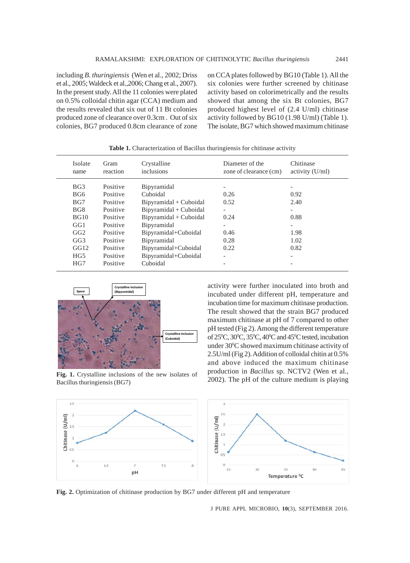including *B. thuringiensis* (Wen et al., 2002; Driss et al., 2005; Waldeck et al.,2006; Chang et al., 2007). In the present study. All the 11 colonies were plated on 0.5% colloidal chitin agar (CCA) medium and the results revealed that six out of 11 Bt colonies produced zone of clearance over 0.3cm . Out of six colonies, BG7 produced 0.8cm clearance of zone on CCA plates followed by BG10 (Table 1). All the six colonies were further screened by chitinase activity based on colorimetrically and the results showed that among the six Bt colonies, BG7 produced highest level of (2.4 U/ml) chitinase activity followed by BG10 (1.98 U/ml) (Table 1). The isolate, BG7 which showed maximum chitinase

| Isolate<br>name | Gram<br>reaction | Crystalline<br>inclusions | Diameter of the<br>zone of clearance (cm) | Chitinase<br>activity $(U/ml)$ |
|-----------------|------------------|---------------------------|-------------------------------------------|--------------------------------|
| BG3             | Positive         | Bipyramidal               |                                           | $\overline{\phantom{a}}$       |
| BG6             | Positive         | Cuboidal                  | 0.26                                      | 0.92                           |
| BG7             | Positive         | Bipyramidal + Cuboidal    | 0.52                                      | 2.40                           |
| BG8             | Positive         | Bipyramidal + Cuboidal    |                                           | $\overline{\phantom{a}}$       |
| BG10            | Positive         | Bipyramidal + Cuboidal    | 0.24                                      | 0.88                           |
| GG1             | Positive         | Bipyramidal               | -                                         | $\qquad \qquad -$              |
| GG2             | Positive         | Bipyramidal+Cuboidal      | 0.46                                      | 1.98                           |
| GG3             | Positive         | Bipyramidal               | 0.28                                      | 1.02                           |
| GG12            | Positive         | Bipyramidal+Cuboidal      | 0.22                                      | 0.82                           |
| HG5             | Positive         | Bipyramidal+Cuboidal      | ٠                                         | $\overline{\phantom{0}}$       |
| HG7             | Positive         | Cuboidal                  |                                           |                                |

**Table 1.** Characterization of Bacillus thuringiensis for chitinase activity



**Fig. 1.** Crystalline inclusions of the new isolates of Bacillus thuringiensis (BG7)

activity were further inoculated into broth and incubated under different pH, temperature and incubation time for maximum chitinase production. The result showed that the strain BG7 produced maximum chitinase at pH of 7 compared to other pH tested (Fig 2). Among the different temperature of  $25^{\circ}$ C,  $30^{\circ}$ C,  $35^{\circ}$ C,  $40^{\circ}$ C and  $45^{\circ}$ C tested, incubation under 30°C showed maximum chitinase activity of 2.5U/ml (Fig 2). Addition of colloidal chitin at 0.5% and above induced the maximum chitinase production in *Bacillus* sp. NCTV2 (Wen et al., 2002). The pH of the culture medium is playing



**Fig. 2.** Optimization of chitinase production by BG7 under different pH and temperature

J PURE APPL MICROBIO*,* **10**(3), SEPTEMBER 2016.